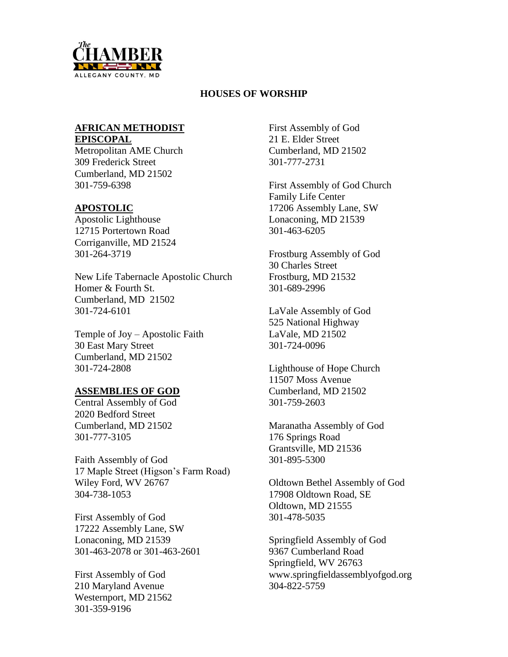

# **HOUSES OF WORSHIP**

# **AFRICAN METHODIST EPISCOPAL**

Metropolitan AME Church 309 Frederick Street Cumberland, MD 21502 301-759-6398

# **APOSTOLIC**

Apostolic Lighthouse 12715 Portertown Road Corriganville, MD 21524 301-264-3719

New Life Tabernacle Apostolic Church Homer & Fourth St. Cumberland, MD 21502 301-724-6101

Temple of Joy – Apostolic Faith 30 East Mary Street Cumberland, MD 21502 301-724-2808

# **ASSEMBLIES OF GOD**

Central Assembly of God 2020 Bedford Street Cumberland, MD 21502 301-777-3105

Faith Assembly of God 17 Maple Street (Higson's Farm Road) Wiley Ford, WV 26767 304-738-1053

First Assembly of God 17222 Assembly Lane, SW Lonaconing, MD 21539 301-463-2078 or 301-463-2601

First Assembly of God 210 Maryland Avenue Westernport, MD 21562 301-359-9196

First Assembly of God 21 E. Elder Street Cumberland, MD 21502 301-777-2731

First Assembly of God Church Family Life Center 17206 Assembly Lane, SW Lonaconing, MD 21539 301-463-6205

Frostburg Assembly of God 30 Charles Street Frostburg, MD 21532 301-689-2996

LaVale Assembly of God 525 National Highway LaVale, MD 21502 301-724-0096

Lighthouse of Hope Church 11507 Moss Avenue Cumberland, MD 21502 301-759-2603

Maranatha Assembly of God 176 Springs Road Grantsville, MD 21536 301-895-5300

Oldtown Bethel Assembly of God 17908 Oldtown Road, SE Oldtown, MD 21555 301-478-5035

Springfield Assembly of God 9367 Cumberland Road Springfield, WV 26763 www.springfieldassemblyofgod.org 304-822-5759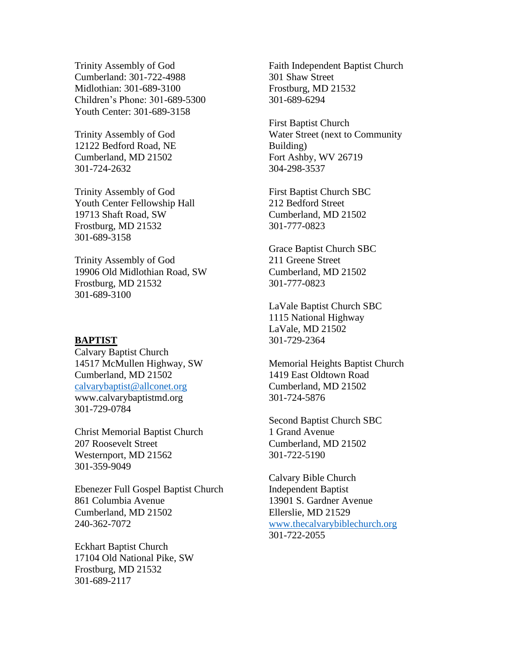Trinity Assembly of God Cumberland: 301-722-4988 Midlothian: 301-689-3100 Children's Phone: 301-689-5300 Youth Center: 301-689-3158

Trinity Assembly of God 12122 Bedford Road, NE Cumberland, MD 21502 301-724-2632

Trinity Assembly of God Youth Center Fellowship Hall 19713 Shaft Road, SW Frostburg, MD 21532 301-689-3158

Trinity Assembly of God 19906 Old Midlothian Road, SW Frostburg, MD 21532 301-689-3100

#### **BAPTIST**

Calvary Baptist Church 14517 McMullen Highway, SW Cumberland, MD 21502 [calvarybaptist@allconet.org](mailto:calvarybaptist@allconet.org) www.calvarybaptistmd.org 301-729-0784

Christ Memorial Baptist Church 207 Roosevelt Street Westernport, MD 21562 301-359-9049

Ebenezer Full Gospel Baptist Church 861 Columbia Avenue Cumberland, MD 21502 240-362-7072

Eckhart Baptist Church 17104 Old National Pike, SW Frostburg, MD 21532 301-689-2117

Faith Independent Baptist Church 301 Shaw Street Frostburg, MD 21532 301-689-6294

First Baptist Church Water Street (next to Community Building) Fort Ashby, WV 26719 304-298-3537

First Baptist Church SBC 212 Bedford Street Cumberland, MD 21502 301-777-0823

Grace Baptist Church SBC 211 Greene Street Cumberland, MD 21502 301-777-0823

LaVale Baptist Church SBC 1115 National Highway LaVale, MD 21502 301-729-2364

Memorial Heights Baptist Church 1419 East Oldtown Road Cumberland, MD 21502 301-724-5876

Second Baptist Church SBC 1 Grand Avenue Cumberland, MD 21502 301-722-5190

Calvary Bible Church Independent Baptist 13901 S. Gardner Avenue Ellerslie, MD 21529 [www.thecalvarybiblechurch.org](http://www.thecalvarybiblechurch.org/) 301-722-2055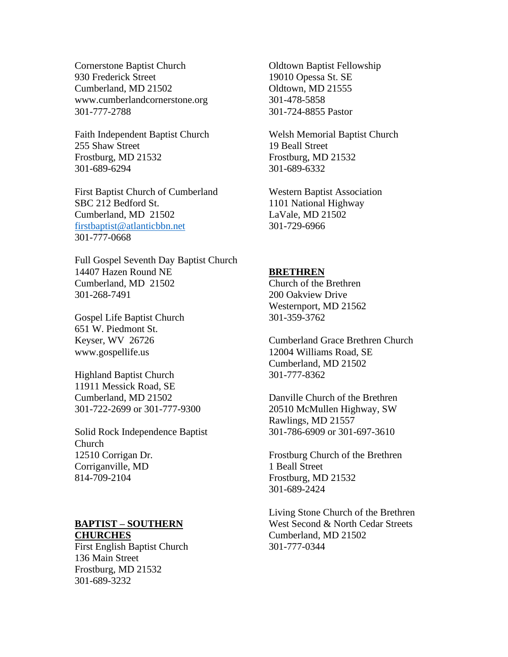Cornerstone Baptist Church 930 Frederick Street Cumberland, MD 21502 www.cumberlandcornerstone.org 301-777-2788

Faith Independent Baptist Church 255 Shaw Street Frostburg, MD 21532 301-689-6294

First Baptist Church of Cumberland SBC 212 Bedford St. Cumberland, MD 21502 [firstbaptist@atlanticbbn.net](mailto:firstbaptist@atlanticbbn.net) 301-777-0668

Full Gospel Seventh Day Baptist Church 14407 Hazen Round NE Cumberland, MD 21502 301-268-7491

Gospel Life Baptist Church 651 W. Piedmont St. Keyser, WV 26726 www.gospellife.us

Highland Baptist Church 11911 Messick Road, SE Cumberland, MD 21502 301-722-2699 or 301-777-9300

Solid Rock Independence Baptist Church 12510 Corrigan Dr. Corriganville, MD 814-709-2104

## **BAPTIST – SOUTHERN CHURCHES**

First English Baptist Church 136 Main Street Frostburg, MD 21532 301-689-3232

Oldtown Baptist Fellowship 19010 Opessa St. SE Oldtown, MD 21555 301-478-5858 301-724-8855 Pastor

Welsh Memorial Baptist Church 19 Beall Street Frostburg, MD 21532 301-689-6332

Western Baptist Association 1101 National Highway LaVale, MD 21502 301-729-6966

### **BRETHREN**

Church of the Brethren 200 Oakview Drive Westernport, MD 21562 301-359-3762

Cumberland Grace Brethren Church 12004 Williams Road, SE Cumberland, MD 21502 301-777-8362

Danville Church of the Brethren 20510 McMullen Highway, SW Rawlings, MD 21557 301-786-6909 or 301-697-3610

Frostburg Church of the Brethren 1 Beall Street Frostburg, MD 21532 301-689-2424

Living Stone Church of the Brethren West Second & North Cedar Streets Cumberland, MD 21502 301-777-0344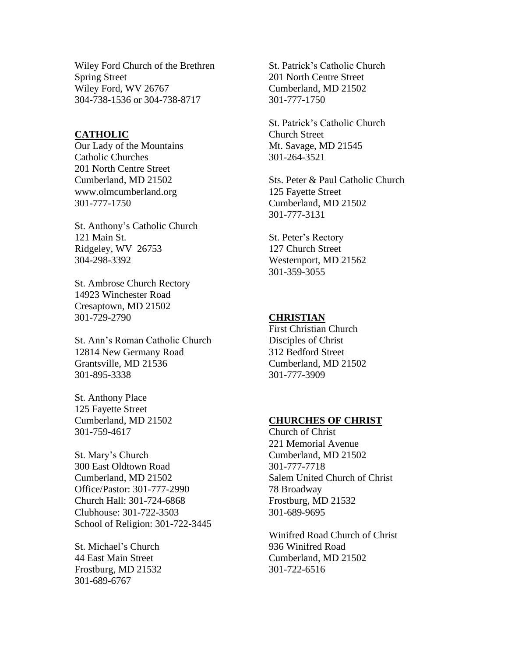Wiley Ford Church of the Brethren Spring Street Wiley Ford, WV 26767 304-738-1536 or 304-738-8717

#### **CATHOLIC**

Our Lady of the Mountains Catholic Churches 201 North Centre Street Cumberland, MD 21502 www.olmcumberland.org 301-777-1750

St. Anthony's Catholic Church 121 Main St. Ridgeley, WV 26753 304-298-3392

St. Ambrose Church Rectory 14923 Winchester Road Cresaptown, MD 21502 301-729-2790

St. Ann's Roman Catholic Church 12814 New Germany Road Grantsville, MD 21536 301-895-3338

St. Anthony Place 125 Fayette Street Cumberland, MD 21502 301-759-4617

St. Mary's Church 300 East Oldtown Road Cumberland, MD 21502 Office/Pastor: 301-777-2990 Church Hall: 301-724-6868 Clubhouse: 301-722-3503 School of Religion: 301-722-3445

St. Michael's Church 44 East Main Street Frostburg, MD 21532 301-689-6767

St. Patrick's Catholic Church 201 North Centre Street Cumberland, MD 21502 301-777-1750

St. Patrick's Catholic Church Church Street Mt. Savage, MD 21545 301-264-3521

Sts. Peter & Paul Catholic Church 125 Fayette Street Cumberland, MD 21502 301-777-3131

St. Peter's Rectory 127 Church Street Westernport, MD 21562 301-359-3055

#### **CHRISTIAN**

First Christian Church Disciples of Christ 312 Bedford Street Cumberland, MD 21502 301-777-3909

### **CHURCHES OF CHRIST**

Church of Christ 221 Memorial Avenue Cumberland, MD 21502 301-777-7718 Salem United Church of Christ 78 Broadway Frostburg, MD 21532 301-689-9695

Winifred Road Church of Christ 936 Winifred Road Cumberland, MD 21502 301-722-6516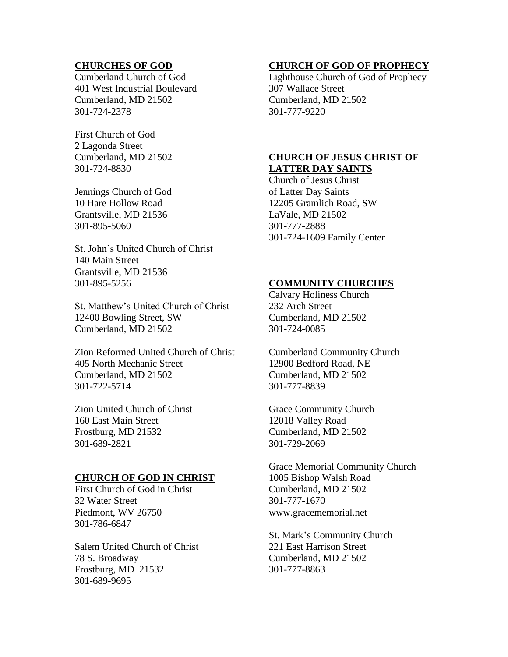# **CHURCHES OF GOD**

Cumberland Church of God 401 West Industrial Boulevard Cumberland, MD 21502 301-724-2378

First Church of God 2 Lagonda Street Cumberland, MD 21502 301-724-8830

Jennings Church of God 10 Hare Hollow Road Grantsville, MD 21536 301-895-5060

St. John's United Church of Christ 140 Main Street Grantsville, MD 21536 301-895-5256

St. Matthew's United Church of Christ 12400 Bowling Street, SW Cumberland, MD 21502

Zion Reformed United Church of Christ 405 North Mechanic Street Cumberland, MD 21502 301-722-5714

Zion United Church of Christ 160 East Main Street Frostburg, MD 21532 301-689-2821

## **CHURCH OF GOD IN CHRIST**

First Church of God in Christ 32 Water Street Piedmont, WV 26750 301-786-6847

Salem United Church of Christ 78 S. Broadway Frostburg, MD 21532 301-689-9695

### **CHURCH OF GOD OF PROPHECY**

Lighthouse Church of God of Prophecy 307 Wallace Street Cumberland, MD 21502 301-777-9220

### **CHURCH OF JESUS CHRIST OF LATTER DAY SAINTS**

Church of Jesus Christ of Latter Day Saints 12205 Gramlich Road, SW LaVale, MD 21502 301-777-2888 301-724-1609 Family Center

### **COMMUNITY CHURCHES**

Calvary Holiness Church 232 Arch Street Cumberland, MD 21502 301-724-0085

Cumberland Community Church 12900 Bedford Road, NE Cumberland, MD 21502 301-777-8839

Grace Community Church 12018 Valley Road Cumberland, MD 21502 301-729-2069

Grace Memorial Community Church 1005 Bishop Walsh Road Cumberland, MD 21502 301-777-1670 www.gracememorial.net

St. Mark's Community Church 221 East Harrison Street Cumberland, MD 21502 301-777-8863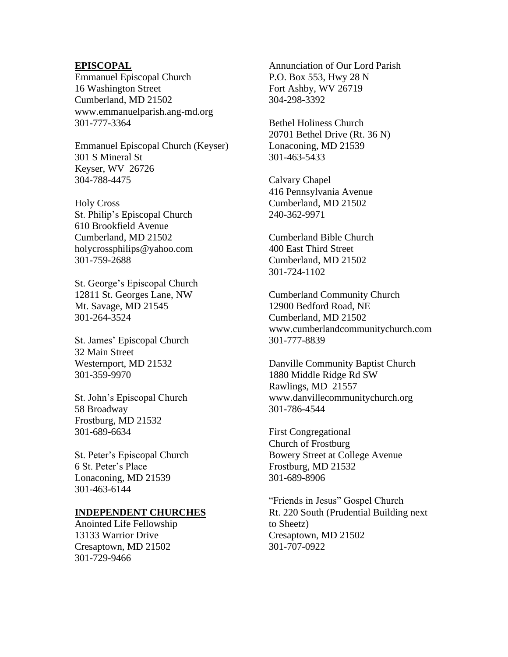### **EPISCOPAL**

Emmanuel Episcopal Church 16 Washington Street Cumberland, MD 21502 www.emmanuelparish.ang-md.org 301-777-3364

Emmanuel Episcopal Church (Keyser) 301 S Mineral St Keyser, WV 26726 304-788-4475

Holy Cross St. Philip's Episcopal Church 610 Brookfield Avenue Cumberland, MD 21502 holycrossphilips@yahoo.com 301-759-2688

St. George's Episcopal Church 12811 St. Georges Lane, NW Mt. Savage, MD 21545 301-264-3524

St. James' Episcopal Church 32 Main Street Westernport, MD 21532 301-359-9970

St. John's Episcopal Church 58 Broadway Frostburg, MD 21532 301-689-6634

St. Peter's Episcopal Church 6 St. Peter's Place Lonaconing, MD 21539 301-463-6144

### **INDEPENDENT CHURCHES**

Anointed Life Fellowship 13133 Warrior Drive Cresaptown, MD 21502 301-729-9466

Annunciation of Our Lord Parish P.O. Box 553, Hwy 28 N Fort Ashby, WV 26719 304-298-3392

Bethel Holiness Church 20701 Bethel Drive (Rt. 36 N) Lonaconing, MD 21539 301-463-5433

Calvary Chapel 416 Pennsylvania Avenue Cumberland, MD 21502 240-362-9971

Cumberland Bible Church 400 East Third Street Cumberland, MD 21502 301-724-1102

Cumberland Community Church 12900 Bedford Road, NE Cumberland, MD 21502 www.cumberlandcommunitychurch.com 301-777-8839

Danville Community Baptist Church 1880 Middle Ridge Rd SW Rawlings, MD 21557 www.danvillecommunitychurch.org 301-786-4544

First Congregational Church of Frostburg Bowery Street at College Avenue Frostburg, MD 21532 301-689-8906

"Friends in Jesus" Gospel Church Rt. 220 South (Prudential Building next to Sheetz) Cresaptown, MD 21502 301-707-0922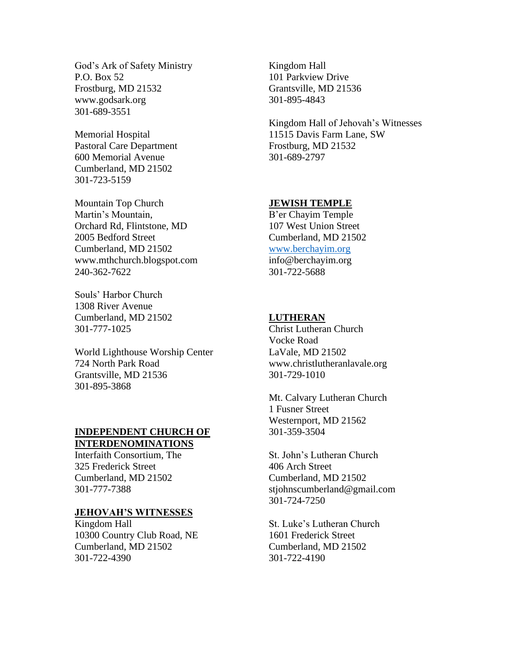God's Ark of Safety Ministry P.O. Box 52 Frostburg, MD 21532 www.godsark.org 301-689-3551

Memorial Hospital Pastoral Care Department 600 Memorial Avenue Cumberland, MD 21502 301-723-5159

Mountain Top Church Martin's Mountain, Orchard Rd, Flintstone, MD 2005 Bedford Street Cumberland, MD 21502 www.mthchurch.blogspot.com 240-362-7622

Souls' Harbor Church 1308 River Avenue Cumberland, MD 21502 301-777-1025

World Lighthouse Worship Center 724 North Park Road Grantsville, MD 21536 301-895-3868

# **INDEPENDENT CHURCH OF INTERDENOMINATIONS**

Interfaith Consortium, The 325 Frederick Street Cumberland, MD 21502 301-777-7388

# **JEHOVAH'S WITNESSES**

Kingdom Hall 10300 Country Club Road, NE Cumberland, MD 21502 301-722-4390

Kingdom Hall 101 Parkview Drive Grantsville, MD 21536 301-895-4843

Kingdom Hall of Jehovah's Witnesses 11515 Davis Farm Lane, SW Frostburg, MD 21532 301-689-2797

### **JEWISH TEMPLE**

B'er Chayim Temple 107 West Union Street Cumberland, MD 21502 [www.berchayim.org](http://www.berchayim.org/) info@berchayim.org 301-722-5688

#### **LUTHERAN**

Christ Lutheran Church Vocke Road LaVale, MD 21502 www.christlutheranlavale.org 301-729-1010

Mt. Calvary Lutheran Church 1 Fusner Street Westernport, MD 21562 301-359-3504

St. John's Lutheran Church 406 Arch Street Cumberland, MD 21502 stjohnscumberland@gmail.com 301-724-7250

St. Luke's Lutheran Church 1601 Frederick Street Cumberland, MD 21502 301-722-4190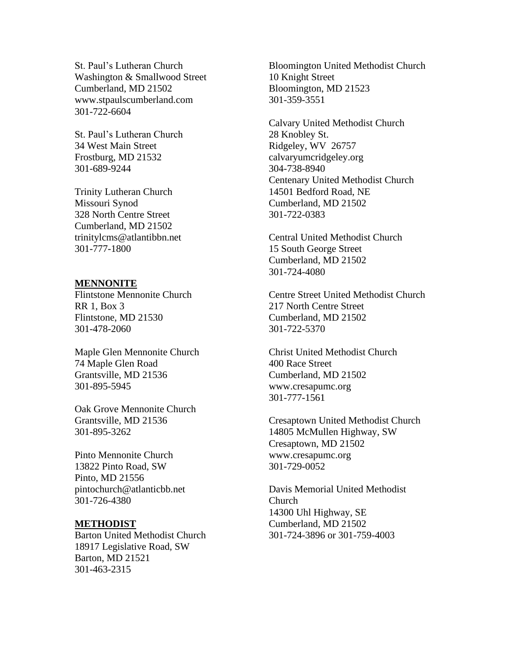St. Paul's Lutheran Church Washington & Smallwood Street Cumberland, MD 21502 www.stpaulscumberland.com 301-722-6604

St. Paul's Lutheran Church 34 West Main Street Frostburg, MD 21532 301-689-9244

Trinity Lutheran Church Missouri Synod 328 North Centre Street Cumberland, MD 21502 trinitylcms@atlantibbn.net 301-777-1800

#### **MENNONITE**

Flintstone Mennonite Church RR 1, Box 3 Flintstone, MD 21530 301-478-2060

Maple Glen Mennonite Church 74 Maple Glen Road Grantsville, MD 21536 301-895-5945

Oak Grove Mennonite Church Grantsville, MD 21536 301-895-3262

Pinto Mennonite Church 13822 Pinto Road, SW Pinto, MD 21556 pintochurch@atlanticbb.net 301-726-4380

#### **METHODIST**

Barton United Methodist Church 18917 Legislative Road, SW Barton, MD 21521 301-463-2315

Bloomington United Methodist Church 10 Knight Street Bloomington, MD 21523 301-359-3551

Calvary United Methodist Church 28 Knobley St. Ridgeley, WV 26757 calvaryumcridgeley.org 304-738-8940 Centenary United Methodist Church 14501 Bedford Road, NE Cumberland, MD 21502 301-722-0383

Central United Methodist Church 15 South George Street Cumberland, MD 21502 301-724-4080

Centre Street United Methodist Church 217 North Centre Street Cumberland, MD 21502 301-722-5370

Christ United Methodist Church 400 Race Street Cumberland, MD 21502 www.cresapumc.org 301-777-1561

Cresaptown United Methodist Church 14805 McMullen Highway, SW Cresaptown, MD 21502 www.cresapumc.org 301-729-0052

Davis Memorial United Methodist Church 14300 Uhl Highway, SE Cumberland, MD 21502 301-724-3896 or 301-759-4003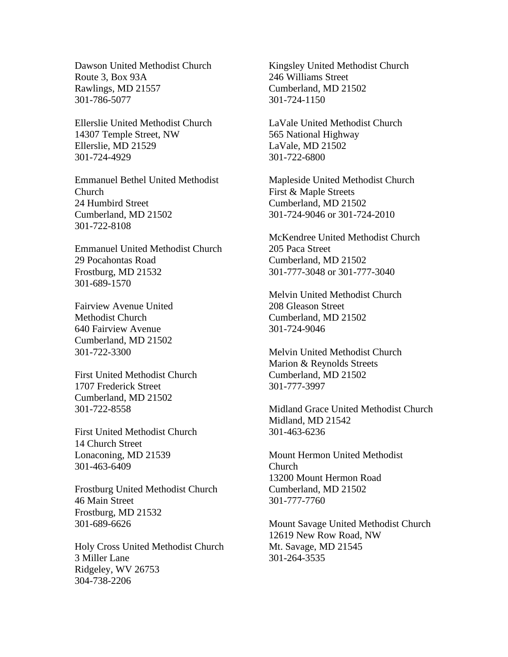Dawson United Methodist Church Route 3, Box 93A Rawlings, MD 21557 301-786-5077

Ellerslie United Methodist Church 14307 Temple Street, NW Ellerslie, MD 21529 301-724-4929

Emmanuel Bethel United Methodist Church 24 Humbird Street Cumberland, MD 21502 301-722-8108

Emmanuel United Methodist Church 29 Pocahontas Road Frostburg, MD 21532 301-689-1570

Fairview Avenue United Methodist Church 640 Fairview Avenue Cumberland, MD 21502 301-722-3300

First United Methodist Church 1707 Frederick Street Cumberland, MD 21502 301-722-8558

First United Methodist Church 14 Church Street Lonaconing, MD 21539 301-463-6409

Frostburg United Methodist Church 46 Main Street Frostburg, MD 21532 301-689-6626

Holy Cross United Methodist Church 3 Miller Lane Ridgeley, WV 26753 304-738-2206

Kingsley United Methodist Church 246 Williams Street Cumberland, MD 21502 301-724-1150

LaVale United Methodist Church 565 National Highway LaVale, MD 21502 301-722-6800

Mapleside United Methodist Church First & Maple Streets Cumberland, MD 21502 301-724-9046 or 301-724-2010

McKendree United Methodist Church 205 Paca Street Cumberland, MD 21502 301-777-3048 or 301-777-3040

Melvin United Methodist Church 208 Gleason Street Cumberland, MD 21502 301-724-9046

Melvin United Methodist Church Marion & Reynolds Streets Cumberland, MD 21502 301-777-3997

Midland Grace United Methodist Church Midland, MD 21542 301-463-6236

Mount Hermon United Methodist Church 13200 Mount Hermon Road Cumberland, MD 21502 301-777-7760

Mount Savage United Methodist Church 12619 New Row Road, NW Mt. Savage, MD 21545 301-264-3535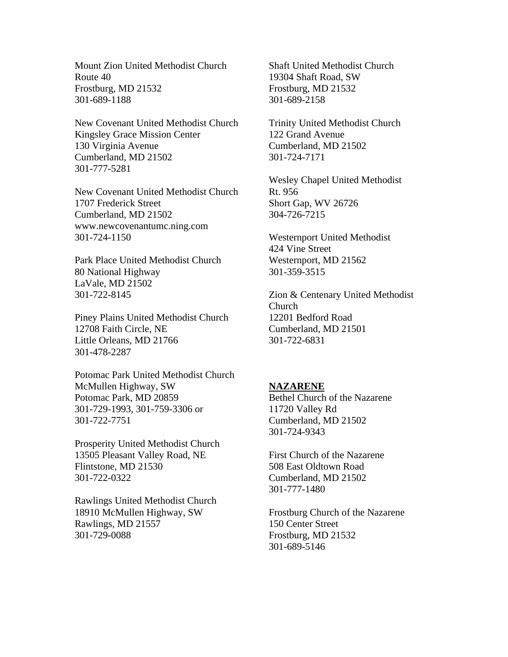Mount Zion United Methodist Church Route 40 Frostburg, MD 21532 301-689-1188

New Covenant United Methodist Church Kingsley Grace Mission Center 130 Virginia Avenue Cumberland, MD 21502 301-777-5281

New Covenant United Methodist Church 1707 Frederick Street Cumberland, MD 21502 www.newcovenantumc.ning.com 301-724-1150

Park Place United Methodist Church 80 National Highway LaVale, MD 21502 301-722-8145

Piney Plains United Methodist Church 12708 Faith Circle, NE Little Orleans, MD 21766 301-478-2287

Potomac Park United Methodist Church McMullen Highway, SW Potomac Park, MD 20859 301-729-1993, 301-759-3306 or 301-722-7751

Prosperity United Methodist Church 13505 Pleasant Valley Road, NE Flintstone, MD 21530 301-722-0322

Rawlings United Methodist Church 18910 McMullen Highway, SW Rawlings, MD 21557 301-729-0088

Shaft United Methodist Church 19304 Shaft Road, SW Frostburg, MD 21532 301-689-2158

Trinity United Methodist Church 122 Grand Avenue Cumberland, MD 21502 301-724-7171

Wesley Chapel United Methodist Rt. 956 Short Gap, WV 26726 304-726-7215

Westernport United Methodist 424 Vine Street Westernport, MD 21562 301-359-3515

Zion & Centenary United Methodist Church 12201 Bedford Road Cumberland, MD 21501 301-722-6831

#### **NAZARENE**

Bethel Church of the Nazarene 11720 Valley Rd Cumberland, MD 21502 301-724-9343

First Church of the Nazarene 508 East Oldtown Road Cumberland, MD 21502 301-777-1480

Frostburg Church of the Nazarene 150 Center Street Frostburg, MD 21532 301-689-5146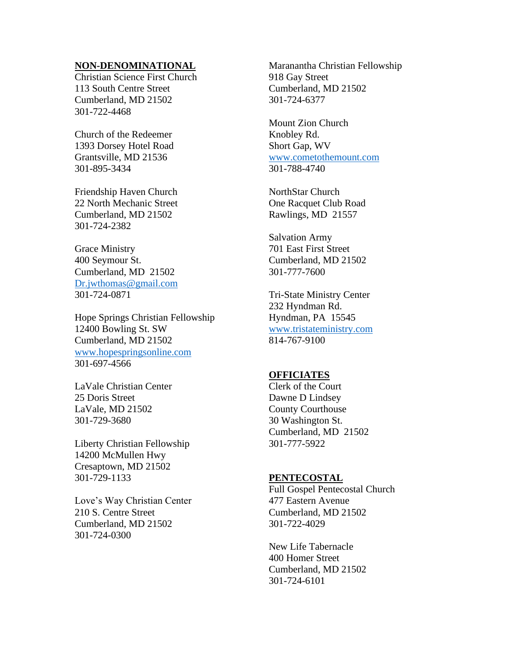#### **NON-DENOMINATIONAL**

Christian Science First Church 113 South Centre Street Cumberland, MD 21502 301-722-4468

Church of the Redeemer 1393 Dorsey Hotel Road Grantsville, MD 21536 301-895-3434

Friendship Haven Church 22 North Mechanic Street Cumberland, MD 21502 301-724-2382

Grace Ministry 400 Seymour St. Cumberland, MD 21502 [Dr.jwthomas@gmail.com](mailto:Dr.jwthomas@gmail.com) 301-724-0871

Hope Springs Christian Fellowship 12400 Bowling St. SW Cumberland, MD 21502 [www.hopespringsonline.com](http://www.hopespringsonline.com/) 301-697-4566

LaVale Christian Center 25 Doris Street LaVale, MD 21502 301-729-3680

Liberty Christian Fellowship 14200 McMullen Hwy Cresaptown, MD 21502 301-729-1133

Love's Way Christian Center 210 S. Centre Street Cumberland, MD 21502 301-724-0300

Maranantha Christian Fellowship 918 Gay Street Cumberland, MD 21502 301-724-6377

Mount Zion Church Knobley Rd. Short Gap, WV [www.cometothemount.com](http://www.cometothemount.com/) 301-788-4740

NorthStar Church One Racquet Club Road Rawlings, MD 21557

Salvation Army 701 East First Street Cumberland, MD 21502 301-777-7600

Tri-State Ministry Center 232 Hyndman Rd. Hyndman, PA 15545 [www.tristateministry.com](http://www.tristateministry.com/) 814-767-9100

# **OFFICIATES**

Clerk of the Court Dawne D Lindsey County Courthouse 30 Washington St. Cumberland, MD 21502 301-777-5922

#### **PENTECOSTAL**

Full Gospel Pentecostal Church 477 Eastern Avenue Cumberland, MD 21502 301-722-4029

New Life Tabernacle 400 Homer Street Cumberland, MD 21502 301-724-6101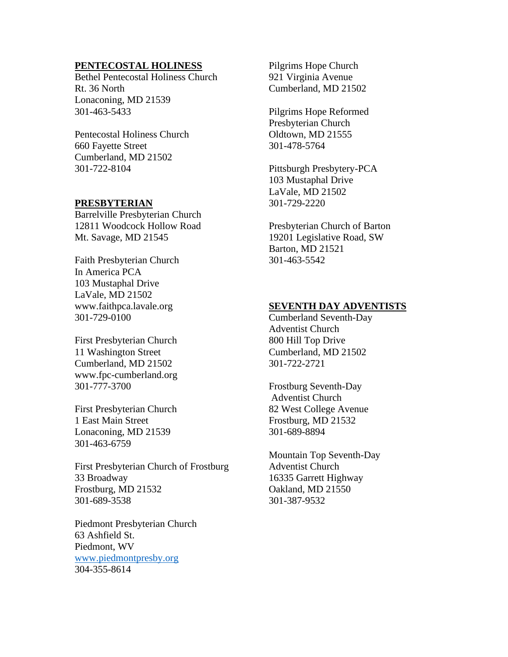### **PENTECOSTAL HOLINESS**

Bethel Pentecostal Holiness Church Rt. 36 North Lonaconing, MD 21539 301-463-5433

Pentecostal Holiness Church 660 Fayette Street Cumberland, MD 21502 301-722-8104

### **PRESBYTERIAN**

Barrelville Presbyterian Church 12811 Woodcock Hollow Road Mt. Savage, MD 21545

Faith Presbyterian Church In America PCA 103 Mustaphal Drive LaVale, MD 21502 www.faithpca.lavale.org 301-729-0100

First Presbyterian Church 11 Washington Street Cumberland, MD 21502 www.fpc-cumberland.org 301-777-3700

First Presbyterian Church 1 East Main Street Lonaconing, MD 21539 301-463-6759

First Presbyterian Church of Frostburg 33 Broadway Frostburg, MD 21532 301-689-3538

Piedmont Presbyterian Church 63 Ashfield St. Piedmont, WV [www.piedmontpresby.org](http://www.piedmontpresby.org/) 304-355-8614

Pilgrims Hope Church 921 Virginia Avenue Cumberland, MD 21502

Pilgrims Hope Reformed Presbyterian Church Oldtown, MD 21555 301-478-5764

Pittsburgh Presbytery-PCA 103 Mustaphal Drive LaVale, MD 21502 301-729-2220

Presbyterian Church of Barton 19201 Legislative Road, SW Barton, MD 21521 301-463-5542

### **SEVENTH DAY ADVENTISTS**

Cumberland Seventh-Day Adventist Church 800 Hill Top Drive Cumberland, MD 21502 301-722-2721

Frostburg Seventh-Day Adventist Church 82 West College Avenue Frostburg, MD 21532 301-689-8894

Mountain Top Seventh-Day Adventist Church 16335 Garrett Highway Oakland, MD 21550 301-387-9532